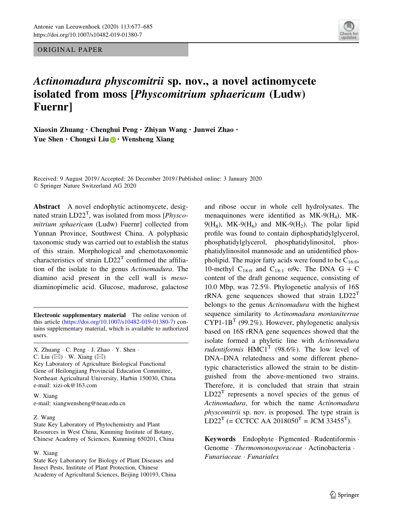ORIGINAL PAPER



# Actinomadura physcomitrii sp. nov., a novel actinomycete isolated from moss [Physcomitrium sphaericum (Ludw) Fuernr]

Xiaoxin Zhuang · Chenghui Peng · Zhiyan Wang · Junwei Zhao · Yue Shen  $\cdot$  Chongxi Liu  $\bigcirc$   $\cdot$  Wensheng Xiang

Received: 9 August 2019 / Accepted: 26 December 2019 / Published online: 3 January 2020 - Springer Nature Switzerland AG 2020

Abstract A novel endophytic actinomycete, designated strain  $LD22<sup>T</sup>$ , was isolated from moss [*Physco*mitrium sphaericum (Ludw) Fuernr] collected from Yunnan Province, Southwest China. A polyphasic taxonomic study was carried out to establish the status of this strain. Morphological and chemotaxonomic characteristics of strain  $LD22<sup>T</sup>$  confirmed the affiliation of the isolate to the genus Actinomadura. The diamino acid present in the cell wall is mesodiaminopimelic acid. Glucose, madurose, galactose

Electronic supplementary material The online version of this article [\(https://doi.org/10.1007/s10482-019-01380-7](https://doi.org/10.1007/s10482-019-01380-7)) contains supplementary material, which is available to authorized users.

X. Zhuang - C. Peng - J. Zhao - Y. Shen -

C. Liu  $(\boxtimes) \cdot$  W. Xiang  $(\boxtimes)$ 

Key Laboratory of Agriculture Biological Functional Gene of Heilongjiang Provincial Education Committee, Northeast Agricultural University, Harbin 150030, China e-mail: xizi-ok@163.com

W. Xiang e-mail: xiangwensheng@neau.edu.cn

#### Z. Wang

State Key Laboratory of Phytochemistry and Plant Resources in West China, Kunming Institute of Botany, Chinese Academy of Sciences, Kunming 650201, China

### W. Xiang

State Key Laboratory for Biology of Plant Diseases and Insect Pests, Institute of Plant Protection, Chinese Academy of Agricultural Sciences, Beijing 100193, China and ribose occur in whole cell hydrolysates. The menaquinones were identified as  $MK-9(H_4)$ , MK- $9(H_8)$ , MK- $9(H_6)$  and MK- $9(H_2)$ . The polar lipid profile was found to contain diphosphatidylglycerol, phosphatidylglycerol, phosphatidylinositol, phosphatidylinositol mannoside and an unidentified phospholipid. The major fatty acids were found to be  $C_{16:0}$ , 10-methyl  $C_{18:0}$  and  $C_{18:1}$  ω9c. The DNA  $G + C$ content of the draft genome sequence, consisting of 10.0 Mbp, was 72.5%. Phylogenetic analysis of 16S  $rRNA$  gene sequences showed that strain  $LD22<sup>T</sup>$ belongs to the genus Actinomadura with the highest sequence similarity to Actinomadura montaniterrae  $CYP1-1B<sup>T</sup>$  (99.2%). However, phylogenetic analysis based on 16S rRNA gene sequences showed that the isolate formed a phyletic line with Actinomadura rudentiformis  $HMC1^T$  (98.6%). The low level of DNA–DNA relatedness and some different phenotypic characteristics allowed the strain to be distinguished from the above-mentioned two strains. Therefore, it is concluded that strain that strain  $LD22<sup>T</sup>$  represents a novel species of the genus of Actinomadura, for which the name Actinomadura physcomitrii sp. nov. is proposed. The type strain is  $LD22<sup>T</sup>$  (= CCTCC AA 2018050<sup>T</sup> = JCM 33455<sup>T</sup>).

Keywords Endophyte · Pigmented · Rudentiformis · Genome · Thermomonosporaceae · Actinobacteria · Funariaceae - Funariales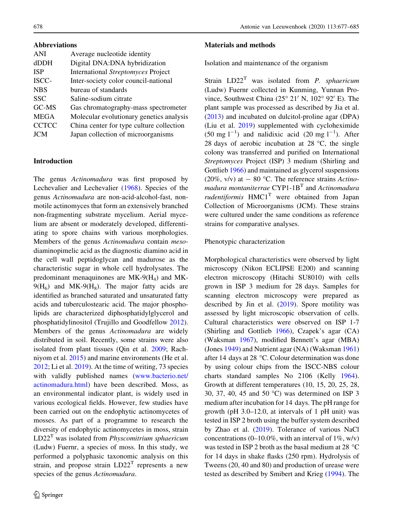### Abbreviations

| ANI          | Average nucleotide identity               |
|--------------|-------------------------------------------|
| dDDH         | Digital DNA:DNA hybridization             |
| <b>ISP</b>   | <b>International Streptomyces Project</b> |
| ISCC-        | Inter-society color council-national      |
| <b>NBS</b>   | bureau of standards                       |
| <b>SSC</b>   | Saline-sodium citrate                     |
| GC-MS        | Gas chromatography-mass spectrometer      |
| <b>MEGA</b>  | Molecular evolutionary genetics analysis  |
| <b>CCTCC</b> | China center for type culture collection  |
| <b>JCM</b>   | Japan collection of microorganisms        |

# Introduction

The genus Actinomadura was first proposed by Lechevalier and Lechevalier [\(1968](#page-8-0)). Species of the genus Actinomadura are non-acid-alcohol-fast, nonmotile actinomyces that form an extensively branched non-fragmenting substrate mycelium. Aerial mycelium are absent or moderately developed, differentiating to spore chains with various morphologies. Members of the genus Actinomadura contain mesodiaminopimelic acid as the diagnostic diamino acid in the cell wall peptidoglycan and madurose as the characteristic sugar in whole cell hydrolysates. The predominant menaquinones are MK-9(H4) and MK- $9(H_6)$  and MK- $9(H_8)$ . The major fatty acids are identified as branched saturated and unsaturated fatty acids and tuberculostearic acid. The major phospholipids are characterized diphosphatidylglycerol and phosphatidylinositol (Trujillo and Goodfellow [2012](#page-8-0)). Members of the genus Actinomadura are widely distributed in soil. Recently, some strains were also isolated from plant tissues (Qin et al. [2009;](#page-8-0) Rachniyom et al. [2015](#page-8-0)) and marine environments (He et al. [2012;](#page-7-0) Li et al. [2019\)](#page-8-0). At the time of writing, 73 species with validly published names [\(www.bacterio.net/](http://www.bacterio.net/actinomadura.html) [actinomadura.html](http://www.bacterio.net/actinomadura.html)) have been described. Moss, as an environmental indicator plant, is widely used in various ecological fields. However, few studies have been carried out on the endophytic actinomycetes of mosses. As part of a programme to research the diversity of endophytic actinomycetes in moss, strain  $LD22<sup>T</sup>$  was isolated from *Physcomitrium sphaericum* (Ludw) Fuernr, a species of moss. In this study, we performed a polyphasic taxonomic analysis on this strain, and propose strain  $LD22<sup>T</sup>$  represents a new species of the genus Actinomadura.

# Materials and methods

Isolation and maintenance of the organism

Strain  $LD22<sup>T</sup>$  was isolated from *P. sphaericum* (Ludw) Fuernr collected in Kunming, Yunnan Province, Southwest China ( $25^{\circ}$  21' N, 102° 92' E). The plant sample was processed as described by Jia et al. [\(2013](#page-7-0)) and incubated on dulcitol-proline agar (DPA) (Liu et al. [2019\)](#page-8-0) supplemented with cycloheximide  $(50 \text{ mg } l^{-1})$  and nalidixic acid  $(20 \text{ mg } l^{-1})$ . After 28 days of aerobic incubation at 28  $\degree$ C, the single colony was transferred and purified on International Streptomyces Project (ISP) 3 medium (Shirling and Gottlieb [1966\)](#page-8-0) and maintained as glycerol suspensions (20%, v/v) at  $-$  80 °C. The reference strains Actinomadura montaniterrae  $CYP1-1B<sup>T</sup>$  and Actinomadura rudentiformis  $HMC1<sup>T</sup>$  were obtained from Japan Collection of Microorganisms (JCM). These strains were cultured under the same conditions as reference strains for comparative analyses.

# Phenotypic characterization

Morphological characteristics were observed by light microscopy (Nikon ECLIPSE E200) and scanning electron microscopy (Hitachi SU8010) with cells grown in ISP 3 medium for 28 days. Samples for scanning electron microscopy were prepared as described by Jin et al. [\(2019](#page-7-0)). Spore motility was assessed by light microscopic observation of cells. Cultural characteristics were observed on ISP 1-7 (Shirling and Gottlieb [1966\)](#page-8-0), Czapek's agar (CA) (Waksman [1967](#page-8-0)), modified Bennett's agar (MBA) (Jones [1949](#page-7-0)) and Nutrient agar (NA) (Waksman [1961\)](#page-8-0) after 14 days at 28  $\degree$ C. Colour determination was done by using colour chips from the ISCC-NBS colour charts standard samples No 2106 (Kelly [1964](#page-7-0)). Growth at different temperatures (10, 15, 20, 25, 28, 30, 37, 40, 45 and 50  $^{\circ}$ C) was determined on ISP 3 medium after incubation for 14 days. The pH range for growth (pH 3.0–12.0, at intervals of 1 pH unit) was tested in ISP 2 broth using the buffer system described by Zhao et al. ([2019\)](#page-8-0). Tolerance of various NaCl concentrations  $(0-10.0\%$ , with an interval of  $1\%$ , w/v) was tested in ISP 2 broth as the basal medium at 28  $^{\circ}$ C for 14 days in shake flasks (250 rpm). Hydrolysis of Tweens (20, 40 and 80) and production of urease were tested as described by Smibert and Krieg [\(1994](#page-8-0)). The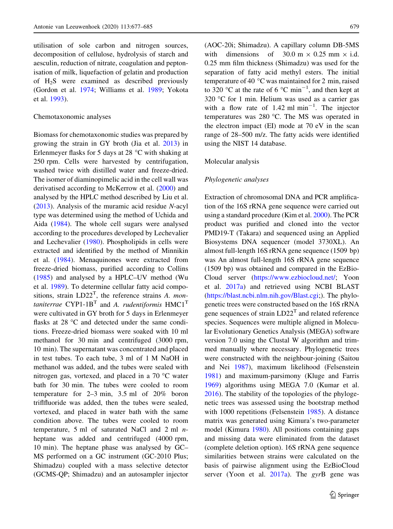utilisation of sole carbon and nitrogen sources, decomposition of cellulose, hydrolysis of starch and aesculin, reduction of nitrate, coagulation and peptonisation of milk, liquefaction of gelatin and production of H2S were examined as described previously (Gordon et al. [1974](#page-7-0); Williams et al. [1989;](#page-8-0) Yokota et al. [1993](#page-8-0)).

### Chemotaxonomic analyses

Biomass for chemotaxonomic studies was prepared by growing the strain in GY broth (Jia et al. [2013\)](#page-7-0) in Erlenmeyer flasks for 5 days at 28  $^{\circ}$ C with shaking at 250 rpm. Cells were harvested by centrifugation, washed twice with distilled water and freeze-dried. The isomer of diaminopimelic acid in the cell wall was derivatised according to McKerrow et al. [\(2000](#page-8-0)) and analysed by the HPLC method described by Liu et al. [\(2013](#page-8-0)). Analysis of the muramic acid residue N-acyl type was determined using the method of Uchida and Aida [\(1984](#page-8-0)). The whole cell sugars were analysed according to the procedures developed by Lechevalier and Lechevalier [\(1980](#page-8-0)). Phospholipids in cells were extracted and identified by the method of Minnikin et al. ([1984\)](#page-8-0). Menaquinones were extracted from freeze-dried biomass, purified according to Collins [\(1985](#page-7-0)) and analysed by a HPLC–UV method (Wu et al. [1989](#page-8-0)). To determine cellular fatty acid compositions, strain  $LD22<sup>T</sup>$ , the reference strains A. montaniterrae CYP1-1B<sup>T</sup> and A. rudentiformis  $HMC1<sup>T</sup>$ were cultivated in GY broth for 5 days in Erlenmeyer flasks at  $28 \text{ °C}$  and detected under the same conditions. Freeze-dried biomass were soaked with 10 ml methanol for 30 min and centrifuged (3000 rpm, 10 min). The supernatant was concentrated and placed in test tubes. To each tube, 3 ml of 1 M NaOH in methanol was added, and the tubes were sealed with nitrogen gas, vortexed, and placed in a  $70^{\circ}$ C water bath for 30 min. The tubes were cooled to room temperature for 2–3 min, 3.5 ml of 20% boron triflfluoride was added, then the tubes were sealed, vortexed, and placed in water bath with the same condition above. The tubes were cooled to room temperature, 5 ml of saturated NaCl and 2 ml  $n$ heptane was added and centrifuged (4000 rpm, 10 min). The heptane phase was analysed by GC– MS performed on a GC instrument (GC-2010 Plus; Shimadzu) coupled with a mass selective detector (GCMS-QP; Shimadzu) and an autosampler injector

(AOC-20i; Shimadzu). A capillary column DB-5MS with dimensions of  $30.0 \text{ m} \times 0.25 \text{ mm} \times \text{i.d.}$ 0.25 mm film thickness (Shimadzu) was used for the separation of fatty acid methyl esters. The initial temperature of 40  $\degree$ C was maintained for 2 min, raised to 320 °C at the rate of 6 °C min<sup>-1</sup>, and then kept at  $320$  °C for 1 min. Helium was used as a carrier gas with a flow rate of  $1.42 \text{ ml min}^{-1}$ . The injector temperatures was 280 °C. The MS was operated in the electron impact (EI) mode at 70 eV in the scan range of 28–500 m/z. The fatty acids were identified using the NIST 14 database.

### Molecular analysis

### Phylogenetic analyses

Extraction of chromosomal DNA and PCR amplification of the 16S rRNA gene sequence were carried out using a standard procedure (Kim et al. [2000](#page-7-0)). The PCR product was purified and cloned into the vector PMD19-T (Takara) and sequenced using an Applied Biosystems DNA sequencer (model 3730XL). An almost full-length 16S rRNA gene sequence (1509 bp) was An almost full-length 16S rRNA gene sequence (1509 bp) was obtained and compared in the EzBio-Cloud server (<https://www.ezbiocloud.net/>; Yoon et al. [2017a\)](#page-8-0) and retrieved using NCBI BLAST [\(https://blast.ncbi.nlm.nih.gov/Blast.cgi;](https://blast.ncbi.nlm.nih.gov/Blast.cgi)). The phylogenetic trees were constructed based on the 16S rRNA gene sequences of strain  $LD22<sup>T</sup>$  and related reference species. Sequences were multiple aligned in Molecular Evolutionary Genetics Analysis (MEGA) software version 7.0 using the Clustal W algorithm and trimmed manually where necessary. Phylogenetic trees were constructed with the neighbour-joining (Saitou and Nei [1987](#page-8-0)), maximum likelihood (Felsenstein [1981\)](#page-7-0) and maximum-parsimony (Kluge and Farris [1969\)](#page-7-0) algorithms using MEGA 7.0 (Kumar et al. [2016\)](#page-8-0). The stability of the topologies of the phylogenetic trees was assessed using the bootstrap method with 1000 repetitions (Felsenstein [1985](#page-7-0)). A distance matrix was generated using Kimura's two-parameter model (Kimura [1980\)](#page-7-0). All positions containing gaps and missing data were eliminated from the dataset (complete deletion option). 16S rRNA gene sequence similarities between strains were calculated on the basis of pairwise alignment using the EzBioCloud server (Yoon et al.  $2017a$ ). The gyrB gene was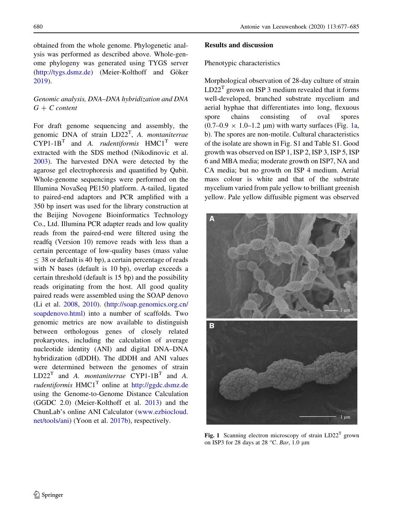obtained from the whole genome. Phylogenetic analysis was performed as described above. Whole-genome phylogeny was generated using TYGS server [\(http://tygs.dsmz.de](http://tygs.dsmz.de)) (Meier-Kolthoff and Göker [2019\)](#page-8-0).

# Genomic analysis, DNA–DNA hybridization and DNA  $G + C$  content

For draft genome sequencing and assembly, the genomic DNA of strain  $LD22<sup>T</sup>$ , A. montaniterrae  $CYP1-1B<sup>T</sup>$  and A. *rudentiformis*  $HMC1<sup>T</sup>$  were extracted with the SDS method (Nikodinovic et al. [2003\)](#page-8-0). The harvested DNA were detected by the agarose gel electrophoresis and quantified by Qubit. Whole-genome sequencings were performed on the Illumina NovaSeq PE150 platform. A-tailed, ligated to paired-end adaptors and PCR amplified with a 350 bp insert was used for the library construction at the Beijing Novogene Bioinformatics Technology Co., Ltd. Illumina PCR adapter reads and low quality reads from the paired-end were filtered using the readfq (Version 10) remove reads with less than a certain percentage of low-quality bases (mass value  $\leq$  38 or default is 40 bp), a certain percentage of reads with N bases (default is 10 bp), overlap exceeds a certain threshold (default is 15 bp) and the possibility reads originating from the host. All good quality paired reads were assembled using the SOAP denovo (Li et al. [2008,](#page-8-0) [2010](#page-8-0)). [\(http://soap.genomics.org.cn/](http://soap.genomics.org.cn/soapdenovo.html) [soapdenovo.html](http://soap.genomics.org.cn/soapdenovo.html)) into a number of scaffolds. Two genomic metrics are now available to distinguish between orthologous genes of closely related prokaryotes, including the calculation of average nucleotide identity (ANI) and digital DNA–DNA hybridization (dDDH). The dDDH and ANI values were determined between the genomes of strain  $LD22<sup>T</sup>$  and A. *montaniterrae* CYP1-1B<sup>T</sup> and A. rudentiformis  $HMC1<sup>T</sup>$  online at <http://ggdc.dsmz.de> using the Genome-to-Genome Distance Calculation (GGDC 2.0) (Meier-Kolthoff et al. [2013\)](#page-8-0) and the ChunLab's online ANI Calculator ([www.ezbiocloud.](http://www.ezbiocloud.net/tools/ani) [net/tools/ani](http://www.ezbiocloud.net/tools/ani)) (Yoon et al. [2017b](#page-8-0)), respectively.

### Results and discussion

### Phenotypic characteristics

Morphological observation of 28-day culture of strain  $LD22<sup>T</sup>$  grown on ISP 3 medium revealed that it forms well-developed, branched substrate mycelium and aerial hyphae that differentiates into long, flexuous spore chains consisting of oval spores  $(0.7-0.9 \times 1.0-1.2 \mu m)$  with warty surfaces (Fig. 1a, b). The spores are non-motile. Cultural characteristics of the isolate are shown in Fig. S1 and Table S1. Good growth was observed on ISP 1, ISP 2, ISP 3, ISP 5, ISP 6 and MBA media; moderate growth on ISP7, NA and CA media; but no growth on ISP 4 medium. Aerial mass colour is white and that of the substrate mycelium varied from pale yellow to brilliant greenish yellow. Pale yellow diffusible pigment was observed



Fig. 1 Scanning electron microscopy of strain  $LD22<sup>T</sup>$  grown on ISP3 for 28 days at 28 °C. Bar, 1.0  $\mu$ m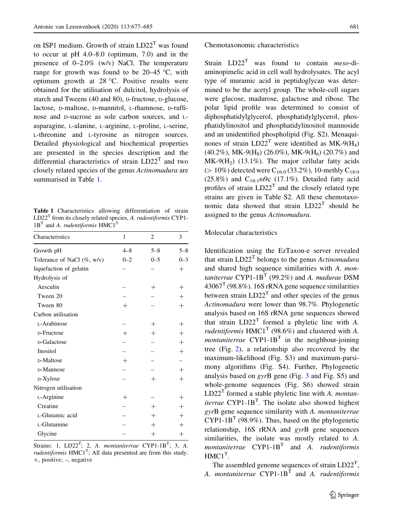<span id="page-4-0"></span>on ISP1 medium. Growth of strain  $LD22<sup>T</sup>$  was found to occur at pH 4.0–8.0 (optimum, 7.0) and in the presence of 0–2.0% (w/v) NaCl. The temperature range for growth was found to be  $20-45$  °C, with optimum growth at  $28 \degree C$ . Positive results were obtained for the utilisation of dulcitol, hydrolysis of starch and Tweens (40 and 80), D-fructose, D-glucose, lactose, D-maltose, D-mannitol, L-rhamnose, D-raffinose and D-sucrose as sole carbon sources, and Lasparagine, L-alanine, L-arginine, L-proline, L-serine, L-threonine and L-tyrosine as nitrogen sources. Detailed physiological and biochemical properties are presented in the species description and the differential characteristics of strain  $LD22<sup>T</sup>$  and two closely related species of the genus Actinomadura are summarised in Table 1.

Table 1 Characteristics allowing differentiation of strain  $LD22<sup>T</sup>$  from its closely related species, A. rudentiformis CYP1- $1B<sup>T</sup>$  and A. rudentiformis  $HMC1<sup>T</sup>$ 

| Characteristics                | 1                  | $\overline{c}$ | 3       |
|--------------------------------|--------------------|----------------|---------|
| Growth pH                      | $4 - 8$            | $5 - 8$        | $5 - 8$ |
| Tolerance of NaCl $(\% , w/v)$ | $0 - 2$            | $0 - 5$        | $0 - 3$ |
| liquefaction of gelatin        |                    |                | $^{+}$  |
| Hydrolysis of                  |                    |                |         |
| Aesculin                       |                    | $^{+}$         | $^{+}$  |
| Tween 20                       |                    |                | $^{+}$  |
| Tween 80                       | $\, +$             |                | $^{+}$  |
| Carbon utilisation             |                    |                |         |
| L-Arabinose                    |                    | $^{+}$         | $^{+}$  |
| D-Fructose                     | $\, +$             | $^{+}$         | $^{+}$  |
| D-Galactose                    |                    |                | $^{+}$  |
| Inositol                       |                    |                | $^{+}$  |
| D-Maltose                      | $^{+}$             |                |         |
| D-Mannose                      |                    |                | $^{+}$  |
| D-Xylose                       |                    | $^{+}$         | $^{+}$  |
| Nitrogen utilisation           |                    |                |         |
| L-Arginine                     | $\hspace{0.1mm} +$ |                | $^{+}$  |
| Creatine                       |                    | $^{+}$         | $^{+}$  |
| L-Glutamic acid                |                    | $^{+}$         | $^{+}$  |
| L-Glutamine                    |                    | $^{+}$         | $^{+}$  |
| Glycine                        |                    | $^+$           | $^{+}$  |

Strains: 1,  $LD22<sup>T</sup>$ ; 2, A. montaniterrae CYP1-1B<sup>T</sup>; 3, A. *rudentiformis*  $HMCl<sup>T</sup>$ ; All data presented are from this study.  $+$ , positive;  $-$ , negative

# Chemotaxonomic characteristics

Strain  $LD22<sup>T</sup>$  was found to contain *meso-*diaminopimelic acid in cell wall hydrolysates. The acyl type of muramic acid in peptidoglycan was determined to be the acetyl group. The whole-cell sugars were glucose, madurose, galactose and ribose. The polar lipid profile was determined to consist of diphosphatidylglycerol, phosphatidylglycerol, phosphatidylinositol and phosphatidylinositol mannoside and an unidentified phospholipid (Fig. S2). Menaquinones of strain  $LD22^T$  were identified as MK-9(H<sub>4</sub>)  $(40.2\%)$ , MK-9(H<sub>8</sub>) (26.0%), MK-9(H<sub>6</sub>) (20.7%) and  $MK-9(H<sub>2</sub>)$  (13.1%). The major cellular fatty acids ( $> 10\%$ ) detected were C<sub>16:0</sub> (33.2%), 10-methly C<sub>18:0</sub> (25.8%) and  $C_{18:1}$   $\omega$ 9c (17.1%). Detailed fatty acid profiles of strain  $LD22<sup>T</sup>$  and the closely related type strains are given in Table S2. All these chemotaxonomic data showed that strain  $LD22<sup>T</sup>$  should be assigned to the genus Actinomadura.

# Molecular characteristics

Identification using the EzTaxon-e server revealed that strain  $LD22<sup>T</sup>$  belongs to the genus Actinomadura and shared high sequence similarities with A. montaniterrae CYP1-1B<sup>T</sup> (99.2%) and A. madurae DSM  $43067<sup>T</sup>$  (98.8%). 16S rRNA gene sequence similarities between strain  $LD22<sup>T</sup>$  and other species of the genus Actinomadura were lower than 98.7%. Phylogenetic analysis based on 16S rRNA gene sequences showed that strain  $LD22<sup>T</sup>$  formed a phyletic line with A. rudentiformis  $HMC1<sup>T</sup>$  (98.6%) and clustered with A. *montaniterrae*  $CYP1-1B<sup>T</sup>$  in the neighbour-joining tree (Fig. [2\)](#page-5-0), a relationship also recovered by the maximum-likelihood (Fig. S3) and maximum-parsimony algorithms (Fig. S4). Further, Phylogenetic analysis based on gyrB gene (Fig. [3](#page-6-0) and Fig. S5) and whole-genome sequences (Fig. S6) showed strain  $LD22<sup>T</sup>$  formed a stable phyletic line with A. *montaniterrae* CYP1-1B<sup>T</sup>. The isolate also showed highest gyrB gene sequence similarity with A. montaniterrae  $CYP1-1B<sup>T</sup>$  (98.9%). Thus, based on the phylogenetic relationship, 16S rRNA and gyrB gene sequences similarities, the isolate was mostly related to A. montaniterrae  $CYP1-1B<sup>T</sup>$  and A. rudentiformis  $HMC1$ <sup>T</sup>.

The assembled genome sequences of strain  $LD22<sup>T</sup>$ , A. montaniterrae  $CYP1-1B<sup>T</sup>$  and A. rudentiformis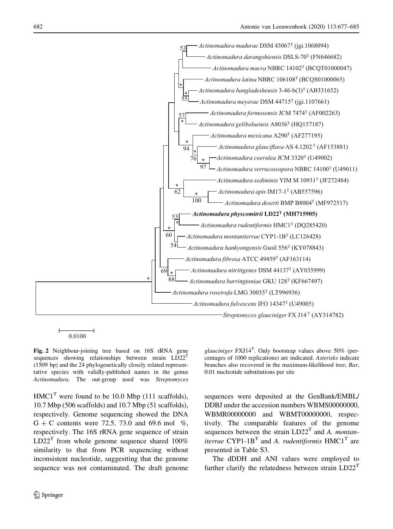<span id="page-5-0"></span>

Fig. 2 Neighbour-joining tree based on 16S rRNA gene sequences showing relationships between strain  $LD22<sup>T</sup>$ (1509 bp) and the 24 phylogenetically closely related representative species with validly-published names in the genus Actinomadura. The out-group used was Streptomyces

 $HMC1<sup>T</sup>$  were found to be 10.0 Mbp (111 scaffolds), 10.7 Mbp (506 scaffolds) and 10.7 Mbp (51 scaffolds), respectively. Genome sequencing showed the DNA  $G + C$  contents were 72.5, 73.0 and 69.6 mol %, respectively. The 16S rRNA gene sequence of strain  $LD22<sup>T</sup>$  from whole genome sequence shared 100% similarity to that from PCR sequencing without inconsistent nucleotide, suggestting that the genome sequence was not contaminated. The draft genome

 $\circledcirc$  Springer

glauciniger  $FXJ14^T$ . Only bootstrap values above 50% (percentages of 1000 replications) are indicated. Asterisks indicate branches also recovered in the maximum-likelihood tree; Bar, 0.01 nucleotide substitutions per site

sequences were deposited at the GenBank/EMBL/ DDBJ under the accession numbers WBMS00000000, WBMR00000000 and WBMT00000000, respectively. The comparable features of the genome sequences between the strain  $LD22<sup>T</sup>$  and A. montaniterrae CYP1-1B<sup>T</sup> and A. rudentiformis  $HMCl<sup>T</sup>$  are presented in Table S3.

The dDDH and ANI values were employed to further clarify the relatedness between strain  $LD22<sup>T</sup>$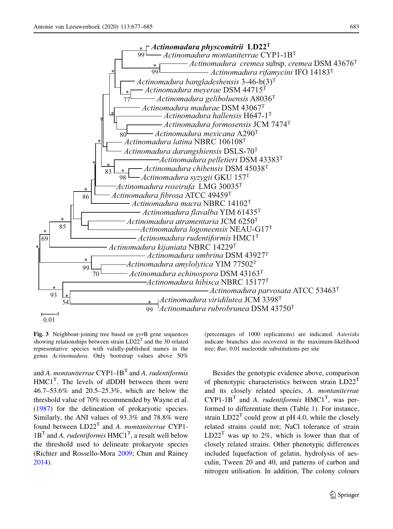<span id="page-6-0"></span>

Fig. 3 Neighbour-joining tree based on gyrB gene sequences showing relationships between strain  $LD22^{T}$  and the 30 related representative species with validly-published names in the genus Actinomadura. Only bootstrap values above 50%

and A. montaniterrae  $CYP1-1B<sup>T</sup>$  and A. rudentiformis  $HMC1<sup>T</sup>$ . The levels of dDDH between them were 46.7–53.6% and 20.5–25.3%, which are below the threshold value of 70% recommended by Wayne et al. [\(1987](#page-8-0)) for the delineation of prokaryotic species. Similarly, the ANI values of 93.3% and 78.8% were found between  $LD22<sup>T</sup>$  and A. montaniterrae CYP1- $1B<sup>T</sup>$  and A. *rudentiformis*  $HMC1<sup>T</sup>$ , a result well below the threshold used to delineate prokaryote species (Richter and Rossello-Mora [2009](#page-8-0); Chun and Rainey [2014\)](#page-7-0).

(percentages of 1000 replications) are indicated. Asterisks indicate branches also recovered in the maximum-likelihood tree; Bar, 0.01 nucleotide substitutions per site

Besides the genotypic evidence above, comparison of phenotypic characteristics between strain  $LD22<sup>T</sup>$ and its closely related species, A. montaniterrae  $CYP1-1B<sup>T</sup>$  and A. *rudentiformis*  $HMC1<sup>T</sup>$ , was performed to differentiate them (Table [1\)](#page-4-0). For instance, strain  $LD22<sup>T</sup>$  could grow at pH 4.0, while the closely related strains could not; NaCl tolerance of strain  $LD22<sup>T</sup>$  was up to 2%, which is lower than that of closely related strains. Other phenotypic differences included liquefaction of gelatin, hydrolysis of aesculin, Tween 20 and 40, and patterns of carbon and nitrogen utilisation. In addition, The colony colours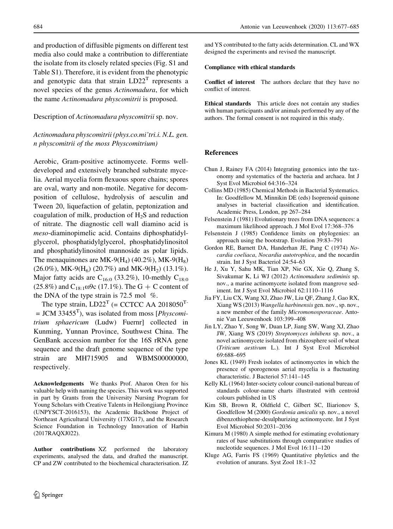<span id="page-7-0"></span>and production of diffusible pigments on different test media also could make a contribution to differentiate the isolate from its closely related species (Fig. S1 and Table S1). Therefore, it is evident from the phenotypic and genotypic data that strain  $LD22<sup>T</sup>$  represents a novel species of the genus Actinomadura, for which the name Actinomadura physcomitrii is proposed.

### Description of Actinomadura physcomitrii sp. nov.

# Actinomadura physcomitrii (phys.co.mi'tri.i. N.L. gen. n physcomitrii of the moss Physcomitrium)

Aerobic, Gram-positive actinomycete. Forms welldeveloped and extensively branched substrate mycelia. Aerial mycelia form flexuous spore chains; spores are oval, warty and non-motile. Negative for decomposition of cellulose, hydrolysis of aesculin and Tween 20, liquefaction of gelatin, peptonization and coagulation of milk, production of  $H_2S$  and reduction of nitrate. The diagnostic cell wall diamino acid is meso-diaminopimelic acid. Contains diphosphatidylglycerol, phosphatidylglycerol, phosphatidylinositol and phosphatidylinositol mannoside as polar lipids. The menaquinones are MK-9( $H_4$ ) (40.2%), MK-9( $H_8$ )  $(26.0\%)$ , MK-9(H<sub>6</sub>) (20.7%) and MK-9(H<sub>2</sub>) (13.1%). Major fatty acids are  $C_{16:0}$  (33.2%), 10-methly  $C_{18:0}$  $(25.8\%)$  and  $C_{18:1}$  ω9c (17.1%). The G + C content of the DNA of the type strain is 72.5 mol  $\%$ .

The type strain,  $LD22<sup>T</sup>$  (= CCTCC AA 2018050<sup>T-</sup>  $=$  JCM 33455<sup>T</sup>), was isolated from moss [*Physcomi*trium sphaericum (Ludw) Fuernr] collected in Kunming, Yunnan Province, Southwest China. The GenBank accession number for the 16S rRNA gene sequence and the draft genome sequence of the type strain are MH715905 and WBMS00000000, respectively.

Acknowledgements We thanks Prof. Aharon Oren for his valuable help with naming the species. This work was supported in part by Grants from the University Nursing Program for Young Scholars with Creative Talents in Heilongjiang Province (UNPYSCT-2016153), the Academic Backbone Project of Northeast Agricultural University (17XG17), and the Research Science Foundation in Technology Innovation of Harbin (2017RAQXJ022).

Author contributions XZ performed the laboratory experiments, analysed the data, and drafted the manuscript. CP and ZW contributed to the biochemical characterisation. JZ and YS contributed to the fatty acids determination. CL and WX designed the experiments and revised the manuscript.

# Compliance with ethical standards

Conflict of interest The authors declare that they have no conflict of interest.

Ethical standards This article does not contain any studies with human participants and/or animals performed by any of the authors. The formal consent is not required in this study.

### References

- Chun J, Rainey FA (2014) Integrating genomics into the taxonomy and systematics of the bacteria and archaea. Int J Syst Evol Microbiol 64:316–324
- Collins MD (1985) Chemical Methods in Bacterial Systematics. In: Goodfellow M, Minnikin DE (eds) Isoprenoid quinone analyses in bacterial classification and identification. Academic Press, London, pp 267–284
- Felsenstein J (1981) Evolutionary trees from DNA sequences: a maximum likelihood approach. J Mol Evol 17:368–376
- Felsenstein J (1985) Confidence limits on phylogenies: an approach using the bootstrap. Evolution 39:83–791
- Gordon RE, Barnett DA, Handerhan JE, Pang C (1974) Nocardia coeliaca, Nocardia autotrophica, and the nocardin strain. Int J Syst Bacteriol 24:54–63
- He J, Xu Y, Sahu MK, Tian XP, Nie GX, Xie Q, Zhang S, Sivakumar K, Li WJ (2012) Actinomadura sediminis sp. nov., a marine actinomycete isolated from mangrove sediment. Int J Syst Evol Microbiol 62:1110–1116
- Jia FY, Liu CX, Wang XJ, Zhao JW, Liu QF, Zhang J, Gao RX, Xiang WS (2013) Wangella harbinensis gen. nov., sp. nov., a new member of the family Micromonosporaceae. Antonie Van Leeuwenhoek 103:399–408
- Jin LY, Zhao Y, Song W, Duan LP, Jiang SW, Wang XJ, Zhao JW, Xiang WS (2019) Streptomyces inhibens sp. nov., a novel actinomycete isolated from rhizosphere soil of wheat (Triticum aestivum L.). Int J Syst Evol Microbiol 69:688–695
- Jones KL (1949) Fresh isolates of actinomycetes in which the presence of sporogenous aerial mycelia is a fluctuating characteristic. J Bacteriol 57:141–145
- Kelly KL (1964) Inter-society colour council-national bureau of standards colour-name charts illustrated with centroid colours published in US
- Kim SB, Brown R, Oldfield C, Gilbert SC, Iliarionov S, Goodfellow M (2000) Gordonia amicalis sp. nov., a novel dibenzothiophene-desulphurizing actinomycete. Int J Syst Evol Microbiol 50:2031–2036
- Kimura M (1980) A simple method for estimating evolutionary rates of base substitutions through comparative studies of nucleotide sequences. J Mol Evol 16:111–120
- Kluge AG, Farris FS (1969) Quantitative phyletics and the evolution of anurans. Syst Zool 18:1–32